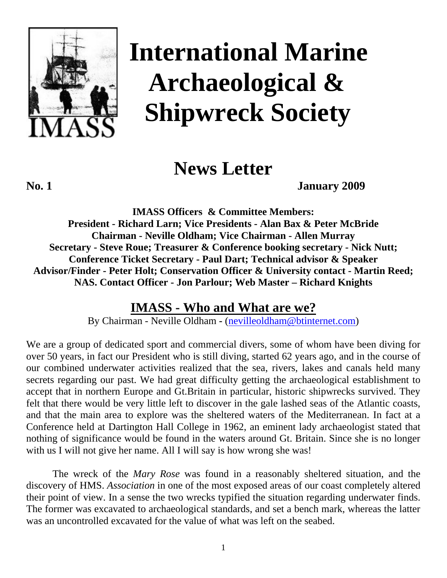

# **International Marine Archaeological & Shipwreck Society**

 **News Letter** 

**No. 1 January 2009** 

**IMASS Officers & Committee Members: President - Richard Larn; Vice Presidents - Alan Bax & Peter McBride Chairman - Neville Oldham; Vice Chairman - Allen Murray Secretary - Steve Roue; Treasurer & Conference booking secretary - Nick Nutt; Conference Ticket Secretary - Paul Dart; Technical advisor & Speaker Advisor/Finder - Peter Holt; Conservation Officer & University contact - Martin Reed; NAS. Contact Officer - Jon Parlour; Web Master – Richard Knights** 

# **IMASS - Who and What are we?**

By Chairman - Neville Oldham **-** ([nevilleoldham@btinternet.com](mailto:nevilleoldham@btinternet.com))

We are a group of dedicated sport and commercial divers, some of whom have been diving for over 50 years, in fact our President who is still diving, started 62 years ago, and in the course of our combined underwater activities realized that the sea, rivers, lakes and canals held many secrets regarding our past. We had great difficulty getting the archaeological establishment to accept that in northern Europe and Gt.Britain in particular, historic shipwrecks survived. They felt that there would be very little left to discover in the gale lashed seas of the Atlantic coasts, and that the main area to explore was the sheltered waters of the Mediterranean. In fact at a Conference held at Dartington Hall College in 1962, an eminent lady archaeologist stated that nothing of significance would be found in the waters around Gt. Britain. Since she is no longer with us I will not give her name. All I will say is how wrong she was!

 The wreck of the *Mary Rose* was found in a reasonably sheltered situation, and the discovery of HMS. *Association* in one of the most exposed areas of our coast completely altered their point of view. In a sense the two wrecks typified the situation regarding underwater finds. The former was excavated to archaeological standards, and set a bench mark, whereas the latter was an uncontrolled excavated for the value of what was left on the seabed.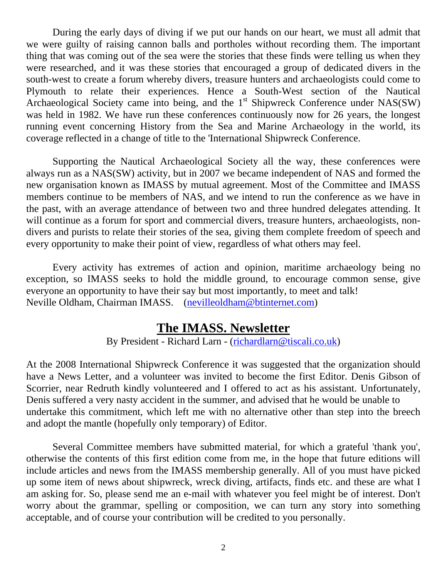During the early days of diving if we put our hands on our heart, we must all admit that we were guilty of raising cannon balls and portholes without recording them. The important thing that was coming out of the sea were the stories that these finds were telling us when they were researched, and it was these stories that encouraged a group of dedicated divers in the south-west to create a forum whereby divers, treasure hunters and archaeologists could come to Plymouth to relate their experiences. Hence a South-West section of the Nautical Archaeological Society came into being, and the 1<sup>st</sup> Shipwreck Conference under NAS(SW) was held in 1982. We have run these conferences continuously now for 26 years, the longest running event concerning History from the Sea and Marine Archaeology in the world, its coverage reflected in a change of title to the 'International Shipwreck Conference.

 Supporting the Nautical Archaeological Society all the way, these conferences were always run as a NAS(SW) activity, but in 2007 we became independent of NAS and formed the new organisation known as IMASS by mutual agreement. Most of the Committee and IMASS members continue to be members of NAS, and we intend to run the conference as we have in the past, with an average attendance of between two and three hundred delegates attending. It will continue as a forum for sport and commercial divers, treasure hunters, archaeologists, nondivers and purists to relate their stories of the sea, giving them complete freedom of speech and every opportunity to make their point of view, regardless of what others may feel.

 Every activity has extremes of action and opinion, maritime archaeology being no exception, so IMASS seeks to hold the middle ground, to encourage common sense, give everyone an opportunity to have their say but most importantly, to meet and talk! Neville Oldham, Chairman IMASS. [\(nevilleoldham@btinternet.com\)](mailto:nevilleoldham@btinternet.com)

# **The IMASS. Newsletter**

By President - Richard Larn - ([richardlarn@tiscali.co.uk\)](mailto:richardlarn@tiscali.co.uk)

At the 2008 International Shipwreck Conference it was suggested that the organization should have a News Letter, and a volunteer was invited to become the first Editor. Denis Gibson of Scorrier, near Redruth kindly volunteered and I offered to act as his assistant. Unfortunately, Denis suffered a very nasty accident in the summer, and advised that he would be unable to undertake this commitment, which left me with no alternative other than step into the breech and adopt the mantle (hopefully only temporary) of Editor.

 Several Committee members have submitted material, for which a grateful 'thank you', otherwise the contents of this first edition come from me, in the hope that future editions will include articles and news from the IMASS membership generally. All of you must have picked up some item of news about shipwreck, wreck diving, artifacts, finds etc. and these are what I am asking for. So, please send me an e-mail with whatever you feel might be of interest. Don't worry about the grammar, spelling or composition, we can turn any story into something acceptable, and of course your contribution will be credited to you personally.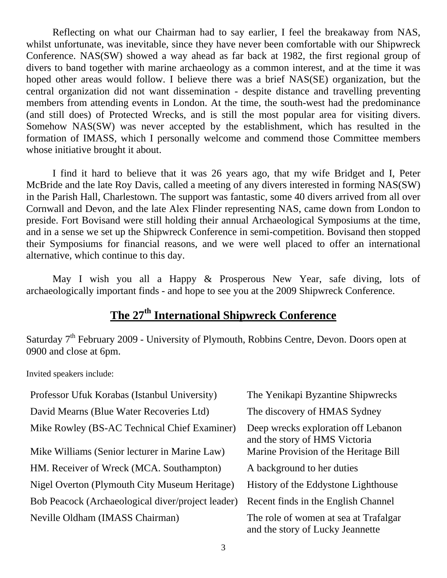Reflecting on what our Chairman had to say earlier, I feel the breakaway from NAS, whilst unfortunate, was inevitable, since they have never been comfortable with our Shipwreck Conference. NAS(SW) showed a way ahead as far back at 1982, the first regional group of divers to band together with marine archaeology as a common interest, and at the time it was hoped other areas would follow. I believe there was a brief NAS(SE) organization, but the central organization did not want dissemination - despite distance and travelling preventing members from attending events in London. At the time, the south-west had the predominance (and still does) of Protected Wrecks, and is still the most popular area for visiting divers. Somehow NAS(SW) was never accepted by the establishment, which has resulted in the formation of IMASS, which I personally welcome and commend those Committee members whose initiative brought it about.

 I find it hard to believe that it was 26 years ago, that my wife Bridget and I, Peter McBride and the late Roy Davis, called a meeting of any divers interested in forming NAS(SW) in the Parish Hall, Charlestown. The support was fantastic, some 40 divers arrived from all over Cornwall and Devon, and the late Alex Flinder representing NAS, came down from London to preside. Fort Bovisand were still holding their annual Archaeological Symposiums at the time, and in a sense we set up the Shipwreck Conference in semi-competition. Bovisand then stopped their Symposiums for financial reasons, and we were well placed to offer an international alternative, which continue to this day.

 May I wish you all a Happy & Prosperous New Year, safe diving, lots of archaeologically important finds - and hope to see you at the 2009 Shipwreck Conference.

# **The 27th International Shipwreck Conference**

Saturday 7<sup>th</sup> February 2009 - University of Plymouth, Robbins Centre, Devon. Doors open at 0900 and close at 6pm.

Invited speakers include:

| Professor Ufuk Korabas (Istanbul University)      | The Yenikapi Byzantine Shipwrecks                                         |
|---------------------------------------------------|---------------------------------------------------------------------------|
| David Mearns (Blue Water Recoveries Ltd)          | The discovery of HMAS Sydney                                              |
| Mike Rowley (BS-AC Technical Chief Examiner)      | Deep wrecks exploration off Lebanon<br>and the story of HMS Victoria      |
| Mike Williams (Senior lecturer in Marine Law)     | Marine Provision of the Heritage Bill                                     |
| HM. Receiver of Wreck (MCA. Southampton)          | A background to her duties                                                |
| Nigel Overton (Plymouth City Museum Heritage)     | History of the Eddystone Lighthouse                                       |
| Bob Peacock (Archaeological diver/project leader) | Recent finds in the English Channel                                       |
| Neville Oldham (IMASS Chairman)                   | The role of women at sea at Trafalgar<br>and the story of Lucky Jeannette |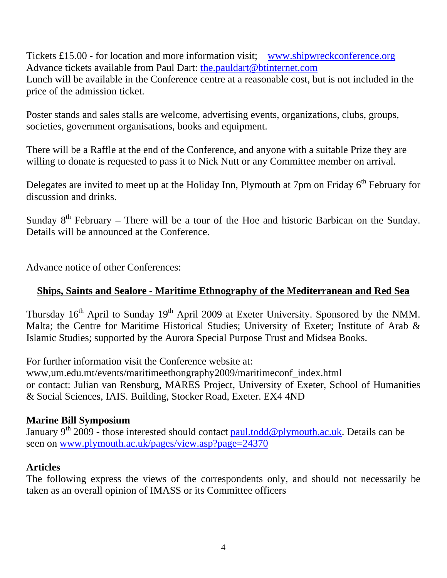Tickets £15.00 - for location and more information visit; [www.shipwreckconference.org](http://www.shipwreckconference.org/) Advance tickets available from Paul Dart: [the.pauldart@btinternet.com](mailto:the.pauldart@btinternet.com) Lunch will be available in the Conference centre at a reasonable cost, but is not included in the price of the admission ticket.

Poster stands and sales stalls are welcome, advertising events, organizations, clubs, groups, societies, government organisations, books and equipment.

There will be a Raffle at the end of the Conference, and anyone with a suitable Prize they are willing to donate is requested to pass it to Nick Nutt or any Committee member on arrival.

Delegates are invited to meet up at the Holiday Inn, Plymouth at 7pm on Friday  $6<sup>th</sup>$  February for discussion and drinks.

Sunday  $8<sup>th</sup>$  February – There will be a tour of the Hoe and historic Barbican on the Sunday. Details will be announced at the Conference.

Advance notice of other Conferences:

# **Ships, Saints and Sealore - Maritime Ethnography of the Mediterranean and Red Sea**

Thursday  $16<sup>th</sup>$  April to Sunday  $19<sup>th</sup>$  April 2009 at Exeter University. Sponsored by the NMM. Malta; the Centre for Maritime Historical Studies; University of Exeter; Institute of Arab & Islamic Studies; supported by the Aurora Special Purpose Trust and Midsea Books.

For further information visit the Conference website at:

www,um.edu.mt/events/maritimeethongraphy2009/maritimeconf\_index.html or contact: Julian van Rensburg, MARES Project, University of Exeter, School of Humanities & Social Sciences, IAIS. Building, Stocker Road, Exeter. EX4 4ND

## **Marine Bill Symposium**

January 9<sup>th</sup> 2009 - those interested should contact [paul.todd@plymouth.ac.uk](mailto:paul.todd@plymouth.ac.uk). Details can be seen on [www.plymouth.ac.uk/pages/view.asp?page=24370](http://www.plymouth.ac.uk/pages/view.asp?page=24370)

#### **Articles**

The following express the views of the correspondents only, and should not necessarily be taken as an overall opinion of IMASS or its Committee officers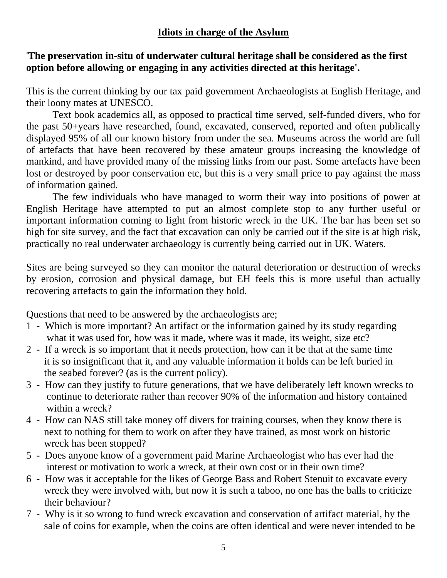# **Idiots in charge of the Asylum**

# '**The preservation in-situ of underwater cultural heritage shall be considered as the first option before allowing or engaging in any activities directed at this heritage'.**

This is the current thinking by our tax paid government Archaeologists at English Heritage, and their loony mates at UNESCO.

 Text book academics all, as opposed to practical time served, self-funded divers, who for the past 50+years have researched, found, excavated, conserved, reported and often publically displayed 95% of all our known history from under the sea. Museums across the world are full of artefacts that have been recovered by these amateur groups increasing the knowledge of mankind, and have provided many of the missing links from our past. Some artefacts have been lost or destroyed by poor conservation etc, but this is a very small price to pay against the mass of information gained.

 The few individuals who have managed to worm their way into positions of power at English Heritage have attempted to put an almost complete stop to any further useful or important information coming to light from historic wreck in the UK. The bar has been set so high for site survey, and the fact that excavation can only be carried out if the site is at high risk, practically no real underwater archaeology is currently being carried out in UK. Waters.

Sites are being surveyed so they can monitor the natural deterioration or destruction of wrecks by erosion, corrosion and physical damage, but EH feels this is more useful than actually recovering artefacts to gain the information they hold.

Questions that need to be answered by the archaeologists are;

- 1 Which is more important? An artifact or the information gained by its study regarding what it was used for, how was it made, where was it made, its weight, size etc?
- 2 If a wreck is so important that it needs protection, how can it be that at the same time it is so insignificant that it, and any valuable information it holds can be left buried in the seabed forever? (as is the current policy).
- 3 How can they justify to future generations, that we have deliberately left known wrecks to continue to deteriorate rather than recover 90% of the information and history contained within a wreck?
- 4 How can NAS still take money off divers for training courses, when they know there is next to nothing for them to work on after they have trained, as most work on historic wreck has been stopped?
- 5 Does anyone know of a government paid Marine Archaeologist who has ever had the interest or motivation to work a wreck, at their own cost or in their own time?
- 6 How was it acceptable for the likes of George Bass and Robert Stenuit to excavate every wreck they were involved with, but now it is such a taboo, no one has the balls to criticize their behaviour?
- 7 Why is it so wrong to fund wreck excavation and conservation of artifact material, by the sale of coins for example, when the coins are often identical and were never intended to be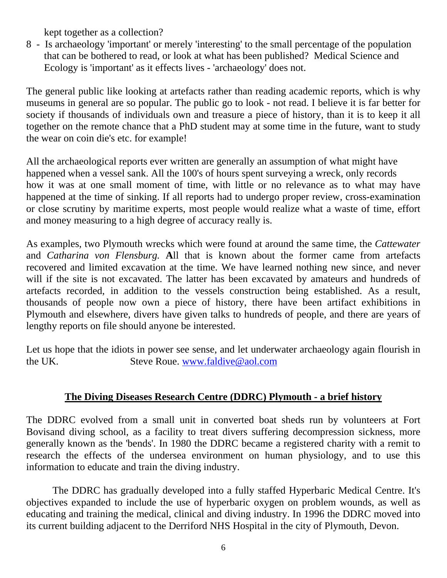kept together as a collection?

8 - Is archaeology 'important' or merely 'interesting' to the small percentage of the population that can be bothered to read, or look at what has been published? Medical Science and Ecology is 'important' as it effects lives - 'archaeology' does not.

The general public like looking at artefacts rather than reading academic reports, which is why museums in general are so popular. The public go to look - not read. I believe it is far better for society if thousands of individuals own and treasure a piece of history, than it is to keep it all together on the remote chance that a PhD student may at some time in the future, want to study the wear on coin die's etc. for example!

All the archaeological reports ever written are generally an assumption of what might have happened when a vessel sank. All the 100's of hours spent surveying a wreck, only records how it was at one small moment of time, with little or no relevance as to what may have happened at the time of sinking. If all reports had to undergo proper review, cross-examination or close scrutiny by maritime experts, most people would realize what a waste of time, effort and money measuring to a high degree of accuracy really is.

As examples, two Plymouth wrecks which were found at around the same time, the *Cattewater* and *Catharina von Flensburg.* **A**ll that is known about the former came from artefacts recovered and limited excavation at the time. We have learned nothing new since, and never will if the site is not excavated. The latter has been excavated by amateurs and hundreds of artefacts recorded, in addition to the vessels construction being established. As a result, thousands of people now own a piece of history, there have been artifact exhibitions in Plymouth and elsewhere, divers have given talks to hundreds of people, and there are years of lengthy reports on file should anyone be interested.

Let us hope that the idiots in power see sense, and let underwater archaeology again flourish in the UK. Steve Roue. [www.faldive@aol.com](http://www.faldive@aol.com/) 

# **The Diving Diseases Research Centre (DDRC) Plymouth - a brief history**

The DDRC evolved from a small unit in converted boat sheds run by volunteers at Fort Bovisand diving school, as a facility to treat divers suffering decompression sickness, more generally known as the 'bends'. In 1980 the DDRC became a registered charity with a remit to research the effects of the undersea environment on human physiology, and to use this information to educate and train the diving industry.

 The DDRC has gradually developed into a fully staffed Hyperbaric Medical Centre. It's objectives expanded to include the use of hyperbaric oxygen on problem wounds, as well as educating and training the medical, clinical and diving industry. In 1996 the DDRC moved into its current building adjacent to the Derriford NHS Hospital in the city of Plymouth, Devon.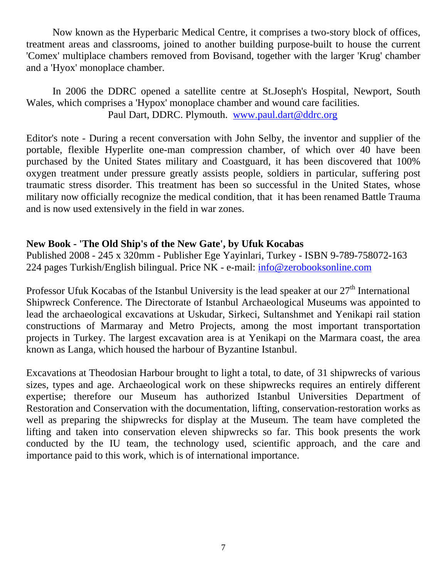Now known as the Hyperbaric Medical Centre, it comprises a two-story block of offices, treatment areas and classrooms, joined to another building purpose-built to house the current 'Comex' multiplace chambers removed from Bovisand, together with the larger 'Krug' chamber and a 'Hyox' monoplace chamber.

 In 2006 the DDRC opened a satellite centre at St.Joseph's Hospital, Newport, South Wales, which comprises a 'Hypox' monoplace chamber and wound care facilities. Paul Dart, DDRC. Plymouth. [www.paul.dart@ddrc.org](http://www.paul.dart@ddrc.org/)

Editor's note - During a recent conversation with John Selby, the inventor and supplier of the portable, flexible Hyperlite one-man compression chamber, of which over 40 have been purchased by the United States military and Coastguard, it has been discovered that 100% oxygen treatment under pressure greatly assists people, soldiers in particular, suffering post traumatic stress disorder. This treatment has been so successful in the United States, whose military now officially recognize the medical condition, that it has been renamed Battle Trauma and is now used extensively in the field in war zones.

## **New Book - 'The Old Ship's of the New Gate', by Ufuk Kocabas**

Published 2008 - 245 x 320mm - Publisher Ege Yayinlari, Turkey - ISBN 9-789-758072-163 224 pages Turkish/English bilingual. Price NK - e-mail: [info@zerobooksonline.com](mailto:info@zerobooksonline.com)

Professor Ufuk Kocabas of the Istanbul University is the lead speaker at our  $27<sup>th</sup>$  International Shipwreck Conference. The Directorate of Istanbul Archaeological Museums was appointed to lead the archaeological excavations at Uskudar, Sirkeci, Sultanshmet and Yenikapi rail station constructions of Marmaray and Metro Projects, among the most important transportation projects in Turkey. The largest excavation area is at Yenikapi on the Marmara coast, the area known as Langa, which housed the harbour of Byzantine Istanbul.

Excavations at Theodosian Harbour brought to light a total, to date, of 31 shipwrecks of various sizes, types and age. Archaeological work on these shipwrecks requires an entirely different expertise; therefore our Museum has authorized Istanbul Universities Department of Restoration and Conservation with the documentation, lifting, conservation-restoration works as well as preparing the shipwrecks for display at the Museum. The team have completed the lifting and taken into conservation eleven shipwrecks so far. This book presents the work conducted by the IU team, the technology used, scientific approach, and the care and importance paid to this work, which is of international importance.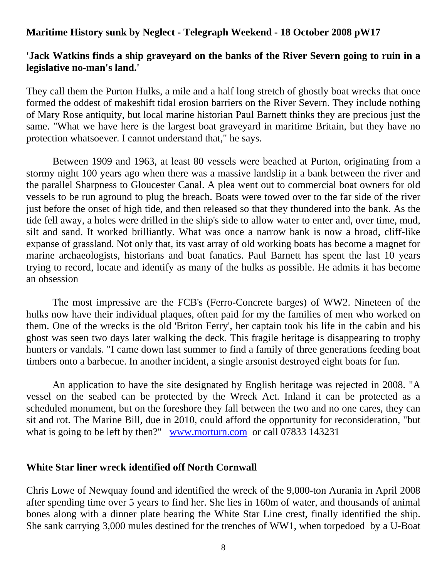#### **Maritime History sunk by Neglect - Telegraph Weekend - 18 October 2008 pW17**

## **'Jack Watkins finds a ship graveyard on the banks of the River Severn going to ruin in a legislative no-man's land.'**

They call them the Purton Hulks, a mile and a half long stretch of ghostly boat wrecks that once formed the oddest of makeshift tidal erosion barriers on the River Severn. They include nothing of Mary Rose antiquity, but local marine historian Paul Barnett thinks they are precious just the same. "What we have here is the largest boat graveyard in maritime Britain, but they have no protection whatsoever. I cannot understand that," he says.

 Between 1909 and 1963, at least 80 vessels were beached at Purton, originating from a stormy night 100 years ago when there was a massive landslip in a bank between the river and the parallel Sharpness to Gloucester Canal. A plea went out to commercial boat owners for old vessels to be run aground to plug the breach. Boats were towed over to the far side of the river just before the onset of high tide, and then released so that they thundered into the bank. As the tide fell away, a holes were drilled in the ship's side to allow water to enter and, over time, mud, silt and sand. It worked brilliantly. What was once a narrow bank is now a broad, cliff-like expanse of grassland. Not only that, its vast array of old working boats has become a magnet for marine archaeologists, historians and boat fanatics. Paul Barnett has spent the last 10 years trying to record, locate and identify as many of the hulks as possible. He admits it has become an obsession

 The most impressive are the FCB's (Ferro-Concrete barges) of WW2. Nineteen of the hulks now have their individual plaques, often paid for my the families of men who worked on them. One of the wrecks is the old 'Briton Ferry', her captain took his life in the cabin and his ghost was seen two days later walking the deck. This fragile heritage is disappearing to trophy hunters or vandals. "I came down last summer to find a family of three generations feeding boat timbers onto a barbecue. In another incident, a single arsonist destroyed eight boats for fun.

 An application to have the site designated by English heritage was rejected in 2008. "A vessel on the seabed can be protected by the Wreck Act. Inland it can be protected as a scheduled monument, but on the foreshore they fall between the two and no one cares, they can sit and rot. The Marine Bill, due in 2010, could afford the opportunity for reconsideration, "but what is going to be left by then?" [www.morturn.com](http://www.morturn.com/) or call 07833 143231

#### **White Star liner wreck identified off North Cornwall**

Chris Lowe of Newquay found and identified the wreck of the 9,000-ton Aurania in April 2008 after spending time over 5 years to find her. She lies in 160m of water, and thousands of animal bones along with a dinner plate bearing the White Star Line crest, finally identified the ship. She sank carrying 3,000 mules destined for the trenches of WW1, when torpedoed by a U-Boat